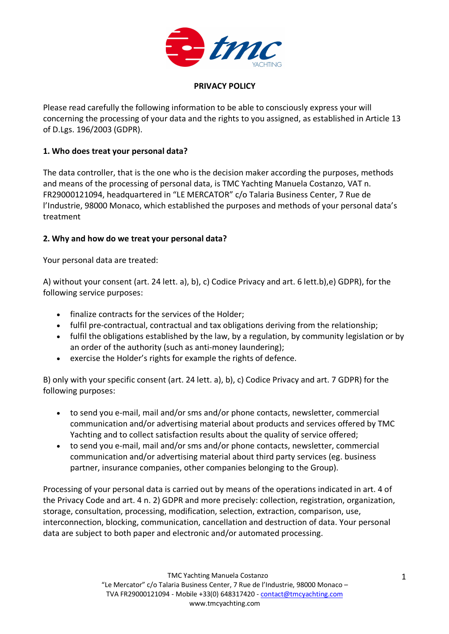

### **PRIVACY POLICY**

Please read carefully the following information to be able to consciously express your will concerning the processing of your data and the rights to you assigned, as established in Article 13 of D.Lgs. 196/2003 (GDPR).

## **1. Who does treat your personal data?**

The data controller, that is the one who is the decision maker according the purposes, methods and means of the processing of personal data, is TMC Yachting Manuela Costanzo, VAT n. FR29000121094, headquartered in "LE MERCATOR" c/o Talaria Business Center, 7 Rue de l'Industrie, 98000 Monaco, which established the purposes and methods of your personal data's treatment

## **2. Why and how do we treat your personal data?**

Your personal data are treated:

A) without your consent (art. 24 lett. a), b), c) Codice Privacy and art. 6 lett.b),e) GDPR), for the following service purposes:

- finalize contracts for the services of the Holder;
- fulfil pre-contractual, contractual and tax obligations deriving from the relationship;
- fulfil the obligations established by the law, by a regulation, by community legislation or by an order of the authority (such as anti-money laundering);
- exercise the Holder's rights for example the rights of defence.

B) only with your specific consent (art. 24 lett. a), b), c) Codice Privacy and art. 7 GDPR) for the following purposes:

- to send you e-mail, mail and/or sms and/or phone contacts, newsletter, commercial communication and/or advertising material about products and services offered by TMC Yachting and to collect satisfaction results about the quality of service offered;
- to send you e-mail, mail and/or sms and/or phone contacts, newsletter, commercial communication and/or advertising material about third party services (eg. business partner, insurance companies, other companies belonging to the Group).

Processing of your personal data is carried out by means of the operations indicated in art. 4 of the Privacy Code and art. 4 n. 2) GDPR and more precisely: collection, registration, organization, storage, consultation, processing, modification, selection, extraction, comparison, use, interconnection, blocking, communication, cancellation and destruction of data. Your personal data are subject to both paper and electronic and/or automated processing.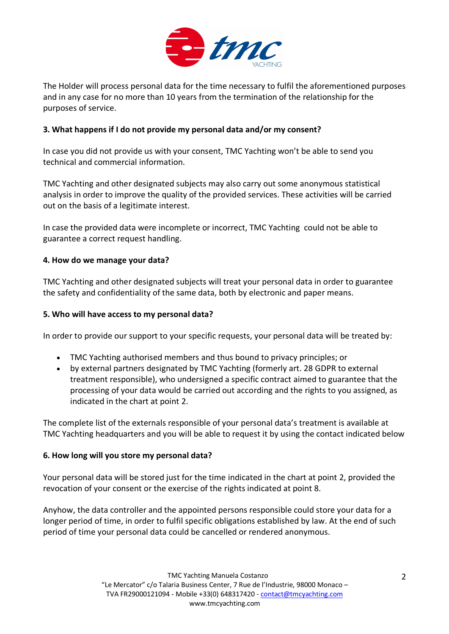

The Holder will process personal data for the time necessary to fulfil the aforementioned purposes and in any case for no more than 10 years from the termination of the relationship for the purposes of service.

# **3. What happens if I do not provide my personal data and/or my consent?**

In case you did not provide us with your consent, TMC Yachting won't be able to send you technical and commercial information.

TMC Yachting and other designated subjects may also carry out some anonymous statistical analysis in order to improve the quality of the provided services. These activities will be carried out on the basis of a legitimate interest.

In case the provided data were incomplete or incorrect, TMC Yachting could not be able to guarantee a correct request handling.

#### **4. How do we manage your data?**

TMC Yachting and other designated subjects will treat your personal data in order to guarantee the safety and confidentiality of the same data, both by electronic and paper means.

#### **5. Who will have access to my personal data?**

In order to provide our support to your specific requests, your personal data will be treated by:

- TMC Yachting authorised members and thus bound to privacy principles; or
- by external partners designated by TMC Yachting (formerly art. 28 GDPR to external treatment responsible), who undersigned a specific contract aimed to guarantee that the processing of your data would be carried out according and the rights to you assigned, as indicated in the chart at point 2.

The complete list of the externals responsible of your personal data's treatment is available at TMC Yachting headquarters and you will be able to request it by using the contact indicated below

#### **6. How long will you store my personal data?**

Your personal data will be stored just for the time indicated in the chart at point 2, provided the revocation of your consent or the exercise of the rights indicated at point 8.

Anyhow, the data controller and the appointed persons responsible could store your data for a longer period of time, in order to fulfil specific obligations established by law. At the end of such period of time your personal data could be cancelled or rendered anonymous.